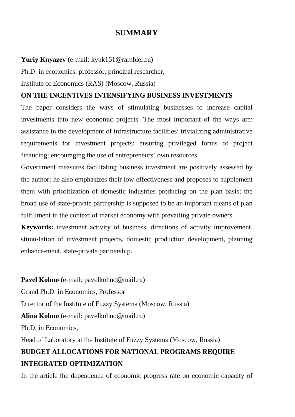## **SUMMARY**

## **Yuriy Knyazev** (e-mail: kyuk151@rambler.ru)

Ph.D. in economics, professor, principal researcher,

Institute of Economics (RAS) (Moscow, Russia)

## **ON THE INCENTIVES INTENSIFYING BUSINESS INVESTMENTS**

The paper considers the ways of stimulating businesses to increase capital investments into new economic projects. The most important of the ways are: assistance in the development of infrastructure facilities; trivializing administrative requirements for investment projects; ensuring privileged forms of project financing; encouraging the use of entrepreneurs' own resources.

Government measures facilitating business investment are positively assessed by the author; he also emphasizes their low effectiveness and proposes to supplement them with prioritization of domestic industries producing on the plan basis; the broad use of state-private partnership is supposed to be an important means of plan fulfillment in the context of market economy with prevailing private owners.

**Keywords:** investment activity of business, directions of activity improvement, stimu-lation of investment projects, domestic production development, planning enhance-ment, state-private partnership.

**Pavel Kohno** (e-mail: pavelkohno@mail.ru) Grand Ph.D. in Economics, Professor Director of the Institute of Fuzzy Systems (Moscow, Russia) **Alina Kohno** (e-mail: pavelkohno@mail.ru) Ph.D. in Economics, Head of Laboratory at the Institute of Fuzzy Systems (Moscow, Russia) **BUDGET ALLOCATIONS FOR NATIONAL PROGRAMS REQUIRE INTEGRATED OPTIMIZATION**

In the article the dependence of economic progress rate on economic capacity of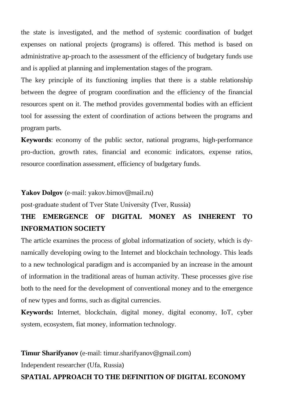the state is investigated, and the method of systemic coordination of budget expenses on national projects (programs) is offered. This method is based on administrative ap-proach to the assessment of the efficiency of budgetary funds use and is applied at planning and implementation stages of the program.

The key principle of its functioning implies that there is a stable relationship between the degree of program coordination and the efficiency of the financial resources spent on it. The method provides governmental bodies with an efficient tool for assessing the extent of coordination of actions between the programs and program parts.

**Keywords**: economy of the public sector, national programs, high-performance pro-duction, growth rates, financial and economic indicators, expense ratios, resource coordination assessment, efficiency of budgetary funds.

#### **Yakov Dolgov** (e-mail: yakov.birnov@mail.ru)

post-graduate student of Tver State University (Tver, Russia)

# **THE EMERGENCE OF DIGITAL MONEY AS INHERENT TO INFORMATION SOCIETY**

The article examines the process of global informatization of society, which is dynamically developing owing to the Internet and blockchain technology. This leads to a new technological paradigm and is accompanied by an increase in the amount of information in the traditional areas of human activity. These processes give rise both to the need for the development of conventional money and to the emergence of new types and forms, such as digital currencies.

**Keywords:** Internet, blockchain, digital money, digital economy, IoT, cyber system, ecosystem, fiat money, information technology*.*

## **Timur Sharifyanov** (e-mail: timur.sharifyanov@gmail.com)

Independent researcher (Ufa, Russia)

## **SPATIAL APPROACH TO THE DEFINITION OF DIGITAL ECONOMY**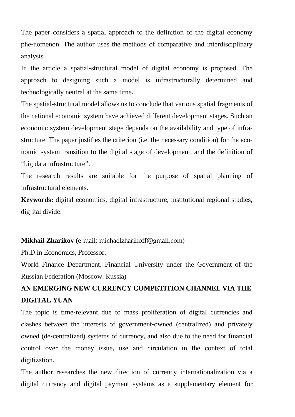The paper considers a spatial approach to the definition of the digital economy phe-nomenon. The author uses the methods of comparative and interdisciplinary analysis.

In the article a spatial-structural model of digital economy is proposed. The approach to designing such a model is infrastructurally determined and technologically neutral at the same time.

The spatial-structural model allows us to conclude that various spatial fragments of the national economic system have achieved different development stages. Such an economic system development stage depends on the availability and type of infrastructure. The paper justifies the criterion (i.e. the necessary condition) for the economic system transition to the digital stage of development, and the definition of "big data infrastructure".

The research results are suitable for the purpose of spatial planning of infrastructural elements.

**Keywords:** digital economics, digital infrastructure, institutional regional studies, dig-ital divide.

#### **Mikhail Zharikov** (е-mail: michaelzharikoff@gmail.com)

Ph.D.in Economics, Professor,

World Finance Department, Financial University under the Government of the Russian Federation (Moscow, Russia)

## **AN EMERGING NEW CURRENCY COMPETITION CHANNEL VIA THE DIGITAL YUAN**

The topic is time-relevant due to mass proliferation of digital currencies and clashes between the interests of government-owned (centralized) and privately owned (de-centralized) systems of currency, and also due to the need for financial control over the money issue, use and circulation in the context of total digitization.

The author researches the new direction of currency internationalization via a digital currency and digital payment systems as a supplementary element for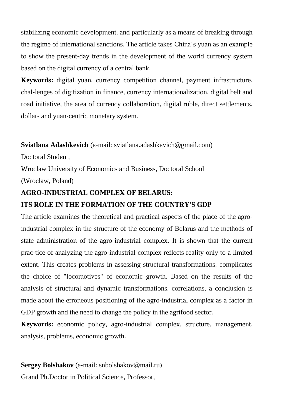stabilizing economic development, and particularly as a means of breaking through the regime of international sanctions. The article takes China's yuan as an example to show the present-day trends in the development of the world currency system based on the digital currency of a central bank.

**Keywords:** digital yuan, currency competition channel, payment infrastructure, chal-lenges of digitization in finance, currency internationalization, digital belt and road initiative, the area of currency collaboration, digital ruble, direct settlements, dollar- and yuan-centric monetary system.

#### **Sviatlana Adashkevich** (e-mail: sviatlana.adashkevich@gmail.com)

Doctoral Student,

Wroclaw University of Economics and Business, Doctoral School (Wroclaw, Poland)

## **AGRO-INDUSTRIAL COMPLEX OF BELARUS:**

### **ITS ROLE IN THE FORMATION OF THE COUNTRY'S GDP**

The article examines the theoretical and practical aspects of the place of the agroindustrial complex in the structure of the economy of Belarus and the methods of state administration of the agro-industrial complex. It is shown that the current prac-tice of analyzing the agro-industrial complex reflects reality only to a limited extent. This creates problems in assessing structural transformations, complicates the choice of "locomotives" of economic growth. Based on the results of the analysis of structural and dynamic transformations, correlations, a conclusion is made about the erroneous positioning of the agro-industrial complex as a factor in GDP growth and the need to change the policy in the agrifood sector.

**Keywords:** economic policy, agro-industrial complex, structure, management, analysis, problems, economic growth.

## **Sergey Bolshakov** (e-mail: snbolshakov@mail.ru)

Grand Ph.Doctor in Political Science, Professor,